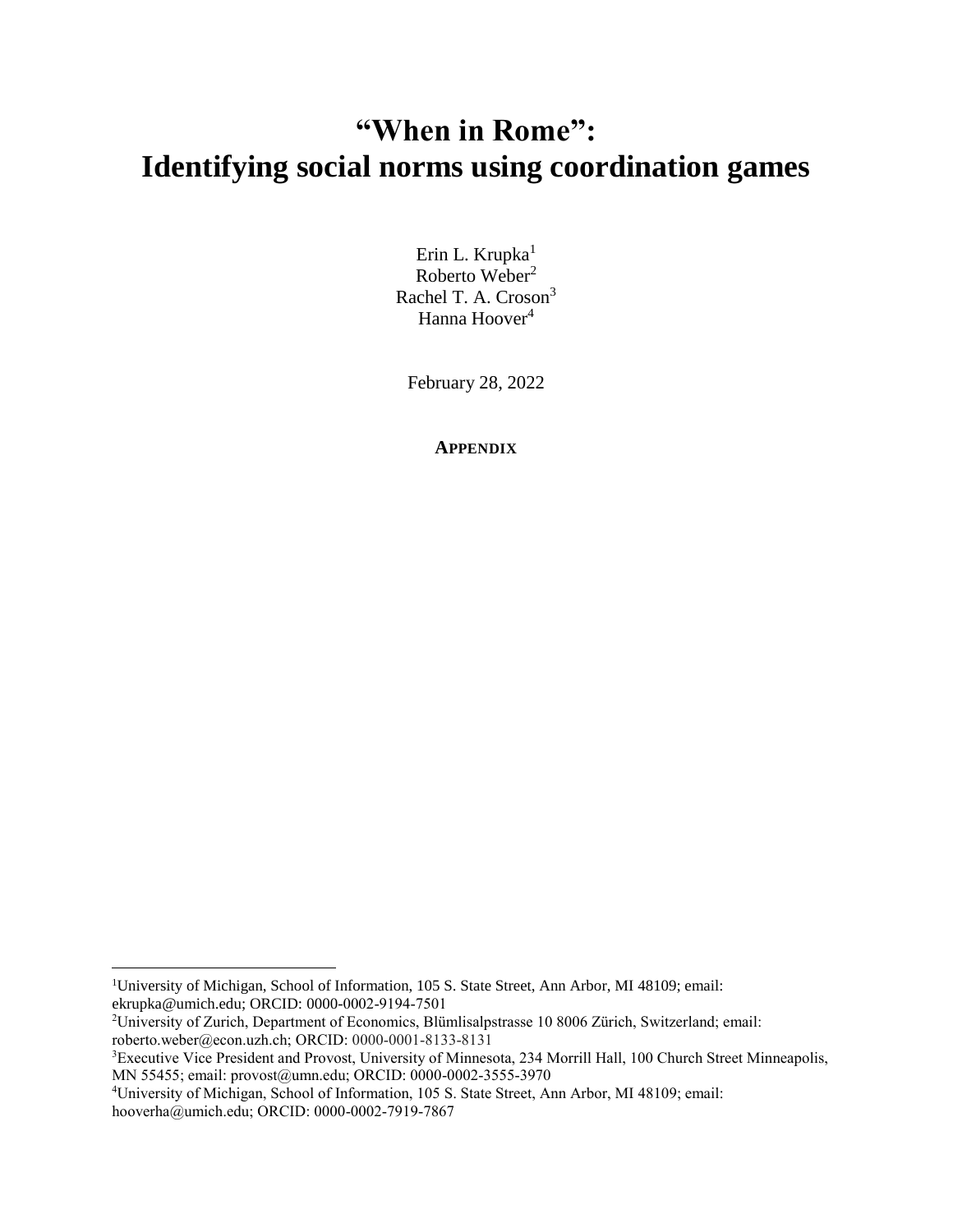## **"When in Rome": Identifying social norms using coordination games**

Erin L. Krupka $1$ Roberto Weber<sup>2</sup> Rachel T. A. Croson<sup>3</sup> Hanna Hoover<sup>4</sup>

February 28, 2022

**APPENDIX**

 $\overline{a}$ 

<sup>1</sup>University of Michigan, School of Information, 105 S. State Street, Ann Arbor, MI 48109; email: ekrupka@umich.edu; ORCID: 0000-0002-9194-7501

<sup>2</sup>University of Zurich, Department of Economics, Blümlisalpstrasse 10 8006 Zürich, Switzerland; email: roberto.weber@econ.uzh.ch; ORCID: 0000-0001-8133-8131

<sup>&</sup>lt;sup>3</sup>Executive Vice President and Provost, University of Minnesota, 234 Morrill Hall, 100 Church Street Minneapolis, MN 55455; email: provost@umn.edu; ORCID: 0000-0002-3555-3970

<sup>4</sup>University of Michigan, School of Information, 105 S. State Street, Ann Arbor, MI 48109; email: hooverha@umich.edu; ORCID: 0000-0002-7919-7867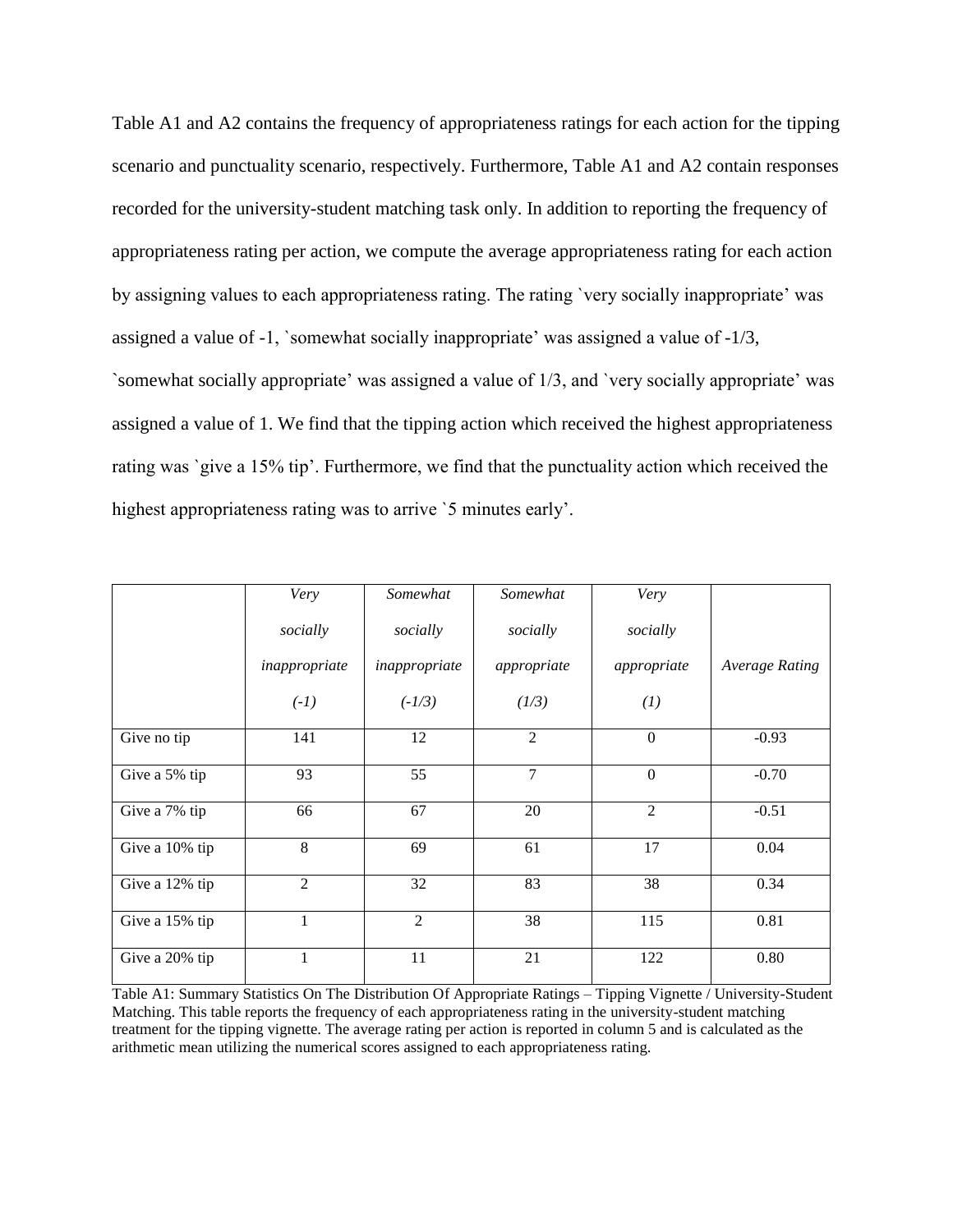Table A1 and A2 contains the frequency of appropriateness ratings for each action for the tipping scenario and punctuality scenario, respectively. Furthermore, Table A1 and A2 contain responses recorded for the university-student matching task only. In addition to reporting the frequency of appropriateness rating per action, we compute the average appropriateness rating for each action by assigning values to each appropriateness rating. The rating `very socially inappropriate' was assigned a value of -1, `somewhat socially inappropriate' was assigned a value of -1/3, `somewhat socially appropriate' was assigned a value of 1/3, and `very socially appropriate' was assigned a value of 1. We find that the tipping action which received the highest appropriateness rating was `give a 15% tip'. Furthermore, we find that the punctuality action which received the highest appropriateness rating was to arrive '5 minutes early'.

|                | Very           | Somewhat       | Somewhat       | Very             |                       |
|----------------|----------------|----------------|----------------|------------------|-----------------------|
|                | socially       | socially       | socially       | socially         |                       |
|                | inappropriate  | inappropriate  | appropriate    | appropriate      | <b>Average Rating</b> |
|                | $(-1)$         | $(-1/3)$       | (1/3)          | (1)              |                       |
| Give no tip    | 141            | 12             | $\overline{2}$ | $\boldsymbol{0}$ | $-0.93$               |
| Give a 5% tip  | 93             | 55             | $\overline{7}$ | $\boldsymbol{0}$ | $-0.70$               |
| Give a 7% tip  | 66             | 67             | 20             | $\overline{2}$   | $-0.51$               |
| Give a 10% tip | 8              | 69             | 61             | 17               | 0.04                  |
| Give a 12% tip | $\overline{2}$ | 32             | 83             | 38               | 0.34                  |
| Give a 15% tip | $\mathbf 1$    | $\overline{2}$ | 38             | 115              | 0.81                  |
| Give a 20% tip | $\mathbf{1}$   | 11             | 21             | 122              | 0.80                  |

Table A1: Summary Statistics On The Distribution Of Appropriate Ratings – Tipping Vignette / University-Student Matching. This table reports the frequency of each appropriateness rating in the university-student matching treatment for the tipping vignette. The average rating per action is reported in column 5 and is calculated as the arithmetic mean utilizing the numerical scores assigned to each appropriateness rating.